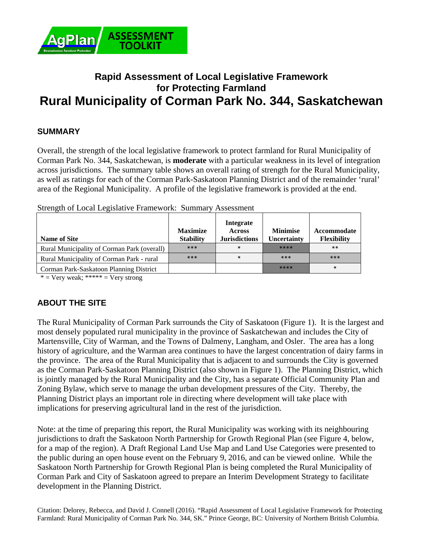

# **Rapid Assessment of Local Legislative Framework for Protecting Farmland Rural Municipality of Corman Park No. 344, Saskatchewan**

## **SUMMARY**

Overall, the strength of the local legislative framework to protect farmland for Rural Municipality of Corman Park No. 344, Saskatchewan, is **moderate** with a particular weakness in its level of integration across jurisdictions. The summary table shows an overall rating of strength for the Rural Municipality, as well as ratings for each of the Corman Park-Saskatoon Planning District and of the remainder 'rural' area of the Regional Municipality. A profile of the legislative framework is provided at the end.

| <b>Name of Site</b>                         | <b>Maximize</b><br><b>Stability</b> | <b>Integrate</b><br><b>Across</b><br><b>Jurisdictions</b> | <b>Minimise</b><br>Uncertainty | Accommodate<br><b>Flexibility</b> |
|---------------------------------------------|-------------------------------------|-----------------------------------------------------------|--------------------------------|-----------------------------------|
| Rural Municipality of Corman Park (overall) | ***                                 | $\ast$                                                    | ****                           | $***$                             |
| Rural Municipality of Corman Park - rural   | ***                                 | $\ast$                                                    | $***$                          | ***                               |
| Corman Park-Saskatoon Planning District     |                                     |                                                           | ****                           | $\ast$                            |

Strength of Local Legislative Framework: Summary Assessment

 $*$  = Very weak; \*\*\*\*\* = Very strong

# **ABOUT THE SITE**

The Rural Municipality of Corman Park surrounds the City of Saskatoon (Figure 1). It is the largest and most densely populated rural municipality in the province of Saskatchewan and includes the City of Martensville, City of Warman, and the Towns of Dalmeny, Langham, and Osler. The area has a long history of agriculture, and the Warman area continues to have the largest concentration of dairy farms in the province. The area of the Rural Municipality that is adjacent to and surrounds the City is governed as the Corman Park-Saskatoon Planning District (also shown in Figure 1). The Planning District, which is jointly managed by the Rural Municipality and the City, has a separate Official Community Plan and Zoning Bylaw, which serve to manage the urban development pressures of the City. Thereby, the Planning District plays an important role in directing where development will take place with implications for preserving agricultural land in the rest of the jurisdiction.

Note: at the time of preparing this report, the Rural Municipality was working with its neighbouring jurisdictions to draft the Saskatoon North Partnership for Growth Regional Plan (see Figure 4, below, for a map of the region). A Draft Regional Land Use Map and Land Use Categories were presented to the public during an open house event on the February 9, 2016, and can be viewed online. While the Saskatoon North Partnership for Growth Regional Plan is being completed the Rural Municipality of Corman Park and City of Saskatoon agreed to prepare an Interim Development Strategy to facilitate development in the Planning District.

Citation: Delorey, Rebecca, and David J. Connell (2016). "Rapid Assessment of Local Legislative Framework for Protecting Farmland: Rural Municipality of Corman Park No. 344, SK." Prince George, BC: University of Northern British Columbia.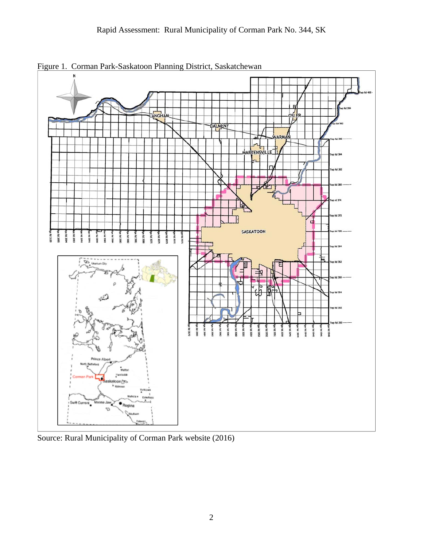

Figure 1. Corman Park-Saskatoon Planning District, Saskatchewan

Source: Rural Municipality of Corman Park website (2016)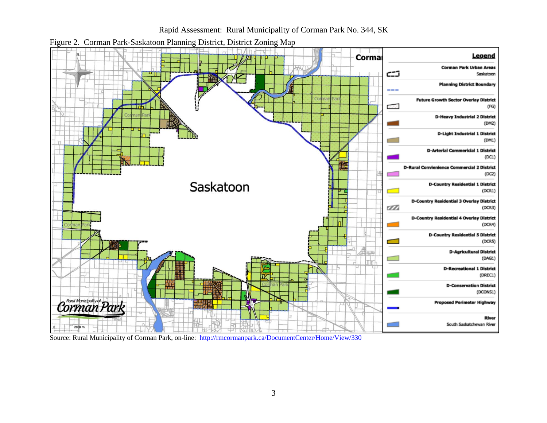



Figure 2. Corman Park-Saskatoon Planning District, District Zoning Map

Source: Rural Municipality of Corman Park, on-line: http://rmcormanpark.ca/DocumentCenter/Home/View/330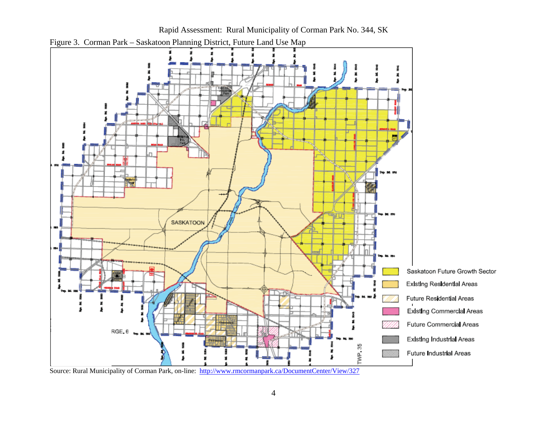

Rapid Assessment: Rural Municipality of Corman Park No. 344, SK

Figure 3. Corman Park – Saskatoon Planning District, Future Land Use Map

Source: Rural Municipality of Corman Park, on-line: http://www.rmcormanpark.ca/DocumentCenter/View/327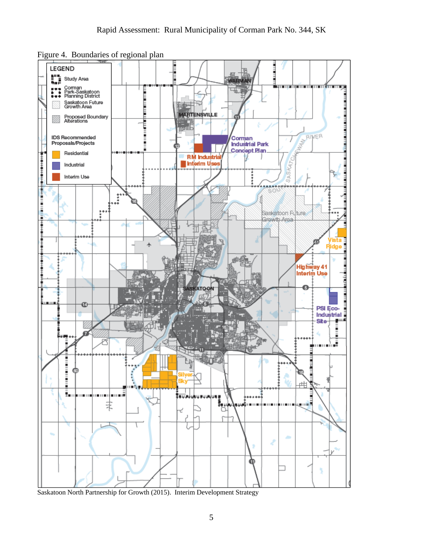Figure 4. Boundaries of regional plan



Saskatoon North Partnership for Growth (2015). Interim Development Strategy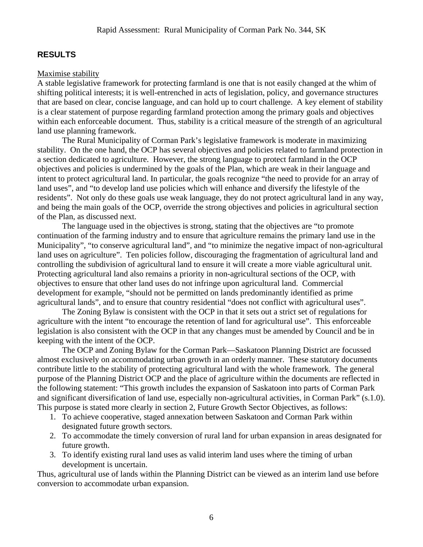# **RESULTS**

### Maximise stability

A stable legislative framework for protecting farmland is one that is not easily changed at the whim of shifting political interests; it is well-entrenched in acts of legislation, policy, and governance structures that are based on clear, concise language, and can hold up to court challenge. A key element of stability is a clear statement of purpose regarding farmland protection among the primary goals and objectives within each enforceable document. Thus, stability is a critical measure of the strength of an agricultural land use planning framework.

 The Rural Municipality of Corman Park's legislative framework is moderate in maximizing stability. On the one hand, the OCP has several objectives and policies related to farmland protection in a section dedicated to agriculture. However, the strong language to protect farmland in the OCP objectives and policies is undermined by the goals of the Plan, which are weak in their language and intent to protect agricultural land. In particular, the goals recognize "the need to provide for an array of land uses", and "to develop land use policies which will enhance and diversify the lifestyle of the residents". Not only do these goals use weak language, they do not protect agricultural land in any way, and being the main goals of the OCP, override the strong objectives and policies in agricultural section of the Plan, as discussed next.

The language used in the objectives is strong, stating that the objectives are "to promote continuation of the farming industry and to ensure that agriculture remains the primary land use in the Municipality", "to conserve agricultural land", and "to minimize the negative impact of non-agricultural land uses on agriculture". Ten policies follow, discouraging the fragmentation of agricultural land and controlling the subdivision of agricultural land to ensure it will create a more viable agricultural unit. Protecting agricultural land also remains a priority in non-agricultural sections of the OCP, with objectives to ensure that other land uses do not infringe upon agricultural land. Commercial development for example, "should not be permitted on lands predominantly identified as prime agricultural lands", and to ensure that country residential "does not conflict with agricultural uses".

 The Zoning Bylaw is consistent with the OCP in that it sets out a strict set of regulations for agriculture with the intent "to encourage the retention of land for agricultural use". This enforceable legislation is also consistent with the OCP in that any changes must be amended by Council and be in keeping with the intent of the OCP.

 The OCP and Zoning Bylaw for the Corman Park—Saskatoon Planning District are focussed almost exclusively on accommodating urban growth in an orderly manner. These statutory documents contribute little to the stability of protecting agricultural land with the whole framework. The general purpose of the Planning District OCP and the place of agriculture within the documents are reflected in the following statement: "This growth includes the expansion of Saskatoon into parts of Corman Park and significant diversification of land use, especially non-agricultural activities, in Corman Park" (s.1.0). This purpose is stated more clearly in section 2, Future Growth Sector Objectives, as follows:

- 1. To achieve cooperative, staged annexation between Saskatoon and Corman Park within designated future growth sectors.
- 2. To accommodate the timely conversion of rural land for urban expansion in areas designated for future growth.
- 3. To identify existing rural land uses as valid interim land uses where the timing of urban development is uncertain.

Thus, agricultural use of lands within the Planning District can be viewed as an interim land use before conversion to accommodate urban expansion.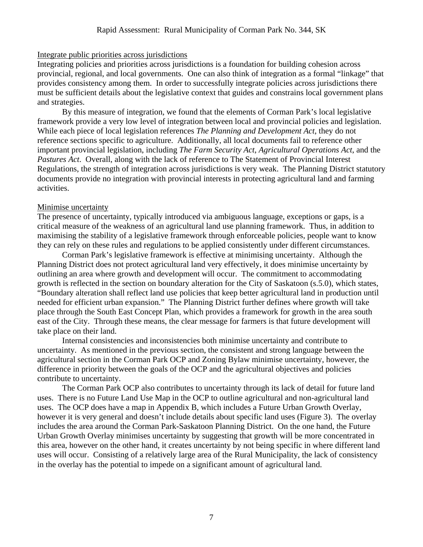#### Integrate public priorities across jurisdictions

Integrating policies and priorities across jurisdictions is a foundation for building cohesion across provincial, regional, and local governments. One can also think of integration as a formal "linkage" that provides consistency among them. In order to successfully integrate policies across jurisdictions there must be sufficient details about the legislative context that guides and constrains local government plans and strategies.

By this measure of integration, we found that the elements of Corman Park's local legislative framework provide a very low level of integration between local and provincial policies and legislation. While each piece of local legislation references *The Planning and Development Act*, they do not reference sections specific to agriculture. Additionally, all local documents fail to reference other important provincial legislation, including *The Farm Security Act*, *Agricultural Operations Act*, and the *Pastures Act*. Overall, along with the lack of reference to The Statement of Provincial Interest Regulations, the strength of integration across jurisdictions is very weak. The Planning District statutory documents provide no integration with provincial interests in protecting agricultural land and farming activities.

#### Minimise uncertainty

The presence of uncertainty, typically introduced via ambiguous language, exceptions or gaps, is a critical measure of the weakness of an agricultural land use planning framework. Thus, in addition to maximising the stability of a legislative framework through enforceable policies, people want to know they can rely on these rules and regulations to be applied consistently under different circumstances.

 Corman Park's legislative framework is effective at minimising uncertainty. Although the Planning District does not protect agricultural land very effectively, it does minimise uncertainty by outlining an area where growth and development will occur. The commitment to accommodating growth is reflected in the section on boundary alteration for the City of Saskatoon (s.5.0), which states, "Boundary alteration shall reflect land use policies that keep better agricultural land in production until needed for efficient urban expansion." The Planning District further defines where growth will take place through the South East Concept Plan, which provides a framework for growth in the area south east of the City. Through these means, the clear message for farmers is that future development will take place on their land.

 Internal consistencies and inconsistencies both minimise uncertainty and contribute to uncertainty. As mentioned in the previous section, the consistent and strong language between the agricultural section in the Corman Park OCP and Zoning Bylaw minimise uncertainty, however, the difference in priority between the goals of the OCP and the agricultural objectives and policies contribute to uncertainty.

The Corman Park OCP also contributes to uncertainty through its lack of detail for future land uses. There is no Future Land Use Map in the OCP to outline agricultural and non-agricultural land uses. The OCP does have a map in Appendix B, which includes a Future Urban Growth Overlay, however it is very general and doesn't include details about specific land uses (Figure 3). The overlay includes the area around the Corman Park-Saskatoon Planning District. On the one hand, the Future Urban Growth Overlay minimises uncertainty by suggesting that growth will be more concentrated in this area, however on the other hand, it creates uncertainty by not being specific in where different land uses will occur. Consisting of a relatively large area of the Rural Municipality, the lack of consistency in the overlay has the potential to impede on a significant amount of agricultural land.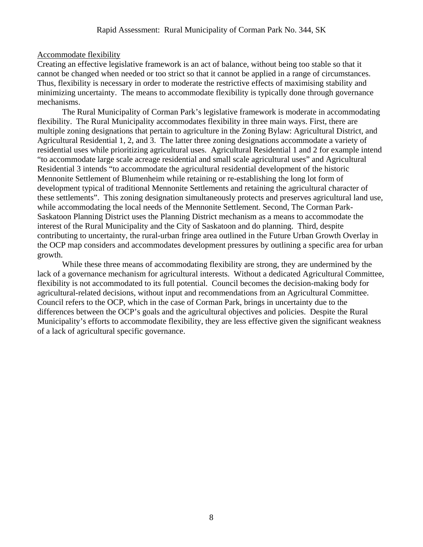#### Accommodate flexibility

Creating an effective legislative framework is an act of balance, without being too stable so that it cannot be changed when needed or too strict so that it cannot be applied in a range of circumstances. Thus, flexibility is necessary in order to moderate the restrictive effects of maximising stability and minimizing uncertainty. The means to accommodate flexibility is typically done through governance mechanisms.

 The Rural Municipality of Corman Park's legislative framework is moderate in accommodating flexibility. The Rural Municipality accommodates flexibility in three main ways. First, there are multiple zoning designations that pertain to agriculture in the Zoning Bylaw: Agricultural District, and Agricultural Residential 1, 2, and 3. The latter three zoning designations accommodate a variety of residential uses while prioritizing agricultural uses. Agricultural Residential 1 and 2 for example intend "to accommodate large scale acreage residential and small scale agricultural uses" and Agricultural Residential 3 intends "to accommodate the agricultural residential development of the historic Mennonite Settlement of Blumenheim while retaining or re-establishing the long lot form of development typical of traditional Mennonite Settlements and retaining the agricultural character of these settlements". This zoning designation simultaneously protects and preserves agricultural land use, while accommodating the local needs of the Mennonite Settlement. Second, The Corman Park-Saskatoon Planning District uses the Planning District mechanism as a means to accommodate the interest of the Rural Municipality and the City of Saskatoon and do planning. Third, despite contributing to uncertainty, the rural-urban fringe area outlined in the Future Urban Growth Overlay in the OCP map considers and accommodates development pressures by outlining a specific area for urban growth.

While these three means of accommodating flexibility are strong, they are undermined by the lack of a governance mechanism for agricultural interests. Without a dedicated Agricultural Committee, flexibility is not accommodated to its full potential. Council becomes the decision-making body for agricultural-related decisions, without input and recommendations from an Agricultural Committee. Council refers to the OCP, which in the case of Corman Park, brings in uncertainty due to the differences between the OCP's goals and the agricultural objectives and policies. Despite the Rural Municipality's efforts to accommodate flexibility, they are less effective given the significant weakness of a lack of agricultural specific governance.